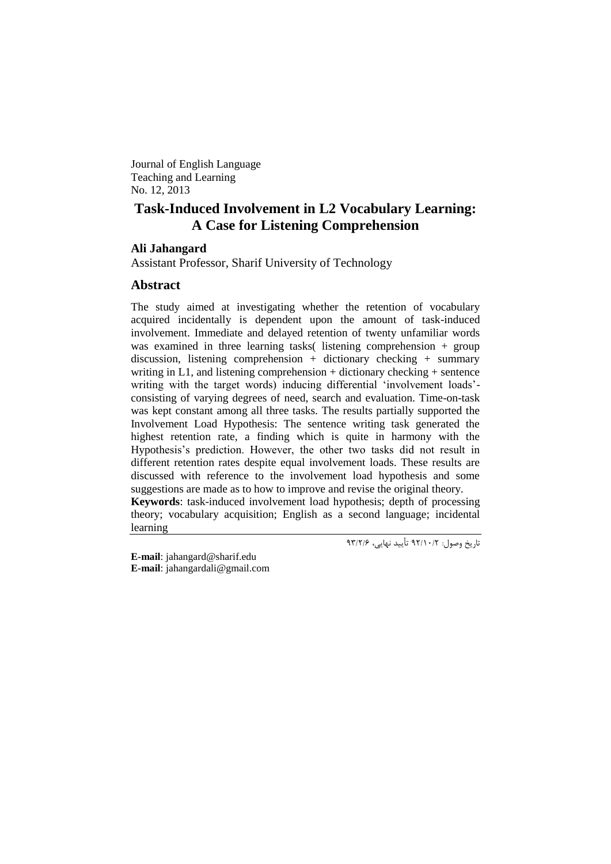Journal of English Language Teaching and Learning No. 12, 2013

# **Task-Induced Involvement in L2 Vocabulary Learning: A Case for Listening Comprehension**

# **Ali Jahangard**

Assistant Professor, Sharif University of Technology

# **Abstract**

The study aimed at investigating whether the retention of vocabulary acquired incidentally is dependent upon the amount of task-induced involvement. Immediate and delayed retention of twenty unfamiliar words was examined in three learning tasks( listening comprehension + group discussion, listening comprehension + dictionary checking + summary writing in L1, and listening comprehension  $+$  dictionary checking  $+$  sentence writing with the target words) inducing differential 'involvement loads'consisting of varying degrees of need, search and evaluation. Time-on-task was kept constant among all three tasks. The results partially supported the Involvement Load Hypothesis: The sentence writing task generated the highest retention rate, a finding which is quite in harmony with the Hypothesis's prediction. However, the other two tasks did not result in different retention rates despite equal involvement loads. These results are discussed with reference to the involvement load hypothesis and some suggestions are made as to how to improve and revise the original theory.

**Keywords**: task-induced involvement load hypothesis; depth of processing theory; vocabulary acquisition; English as a second language; incidental learning

تاریخ وصول: 22/01/2 تأیید نهایی، 29/2/6

**E-mail**: [jahangard@sharif.edu](mailto:jahangard@sharif.edu) **E-mail**: [jahangardali@gmail.com](mailto:jahangardali@gmail.com)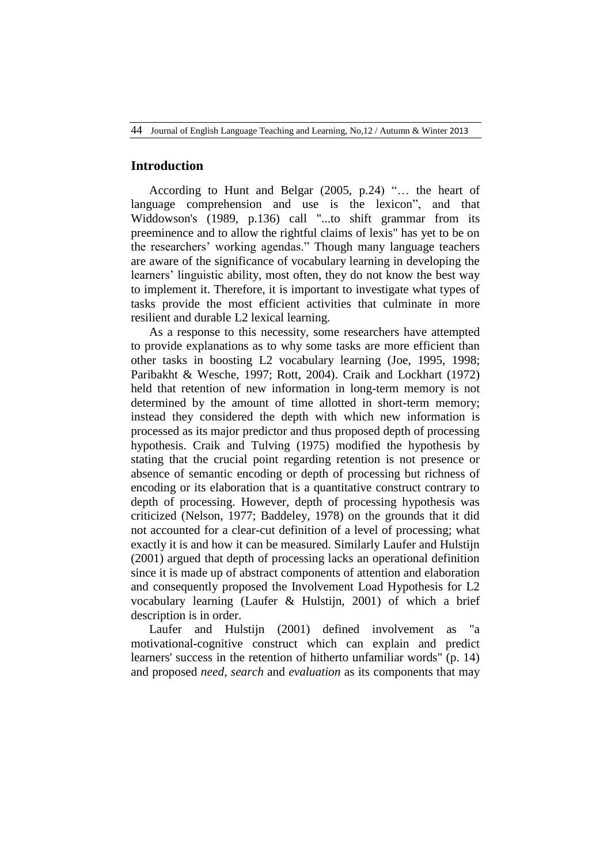# **Introduction**

According to Hunt and Belgar  $(2005, p.24)$  "... the heart of language comprehension and use is the lexicon", and that Widdowson's (1989, p.136) call "...to shift grammar from its preeminence and to allow the rightful claims of lexis" has yet to be on the researchers' working agendas." Though many language teachers are aware of the significance of vocabulary learning in developing the learners' linguistic ability, most often, they do not know the best way to implement it. Therefore, it is important to investigate what types of tasks provide the most efficient activities that culminate in more resilient and durable L2 lexical learning.

As a response to this necessity, some researchers have attempted to provide explanations as to why some tasks are more efficient than other tasks in boosting L2 vocabulary learning (Joe, 1995, 1998; Paribakht & Wesche, 1997; Rott, 2004). Craik and Lockhart (1972) held that retention of new information in long-term memory is not determined by the amount of time allotted in short-term memory; instead they considered the depth with which new information is processed as its major predictor and thus proposed depth of processing hypothesis. Craik and Tulving (1975) modified the hypothesis by stating that the crucial point regarding retention is not presence or absence of semantic encoding or depth of processing but richness of encoding or its elaboration that is a quantitative construct contrary to depth of processing. However, depth of processing hypothesis was criticized (Nelson, 1977; Baddeley, 1978) on the grounds that it did not accounted for a clear-cut definition of a level of processing; what exactly it is and how it can be measured. Similarly Laufer and Hulstijn (2001) argued that depth of processing lacks an operational definition since it is made up of abstract components of attention and elaboration and consequently proposed the Involvement Load Hypothesis for L2 vocabulary learning (Laufer & Hulstijn, 2001) of which a brief description is in order.

Laufer and Hulstijn (2001) defined involvement as "a motivational-cognitive construct which can explain and predict learners' success in the retention of hitherto unfamiliar words" (p. 14) and proposed *need*, *search* and *evaluation* as its components that may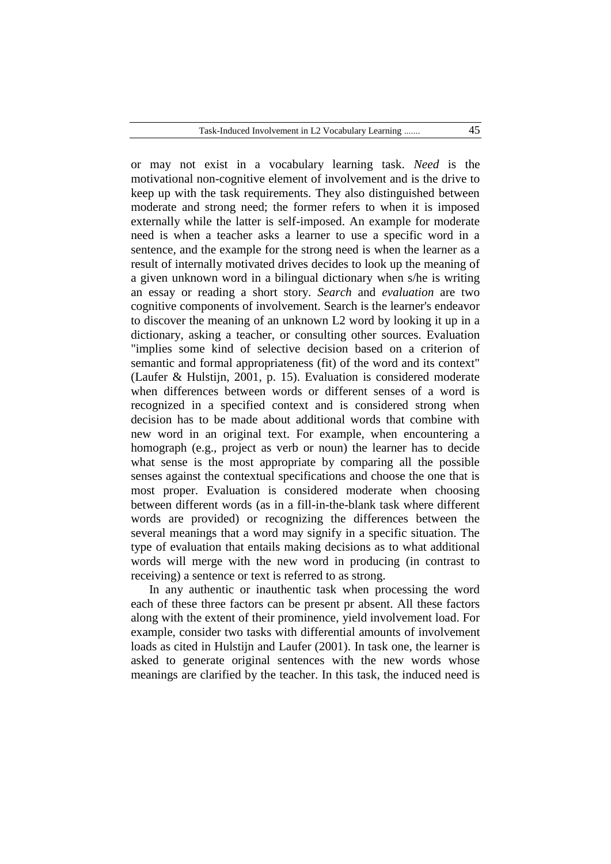or may not exist in a vocabulary learning task. *Need* is the motivational non-cognitive element of involvement and is the drive to keep up with the task requirements. They also distinguished between moderate and strong need; the former refers to when it is imposed externally while the latter is self-imposed. An example for moderate need is when a teacher asks a learner to use a specific word in a sentence, and the example for the strong need is when the learner as a result of internally motivated drives decides to look up the meaning of a given unknown word in a bilingual dictionary when s/he is writing an essay or reading a short story. *Search* and *evaluation* are two cognitive components of involvement. Search is the learner's endeavor to discover the meaning of an unknown L2 word by looking it up in a dictionary, asking a teacher, or consulting other sources. Evaluation "implies some kind of selective decision based on a criterion of semantic and formal appropriateness (fit) of the word and its context" (Laufer & Hulstijn, 2001, p. 15). Evaluation is considered moderate when differences between words or different senses of a word is recognized in a specified context and is considered strong when decision has to be made about additional words that combine with new word in an original text. For example, when encountering a homograph (e.g., project as verb or noun) the learner has to decide what sense is the most appropriate by comparing all the possible senses against the contextual specifications and choose the one that is most proper. Evaluation is considered moderate when choosing between different words (as in a fill-in-the-blank task where different words are provided) or recognizing the differences between the several meanings that a word may signify in a specific situation. The type of evaluation that entails making decisions as to what additional words will merge with the new word in producing (in contrast to receiving) a sentence or text is referred to as strong.

In any authentic or inauthentic task when processing the word each of these three factors can be present pr absent. All these factors along with the extent of their prominence, yield involvement load. For example, consider two tasks with differential amounts of involvement loads as cited in Hulstiin and Laufer (2001). In task one, the learner is asked to generate original sentences with the new words whose meanings are clarified by the teacher. In this task, the induced need is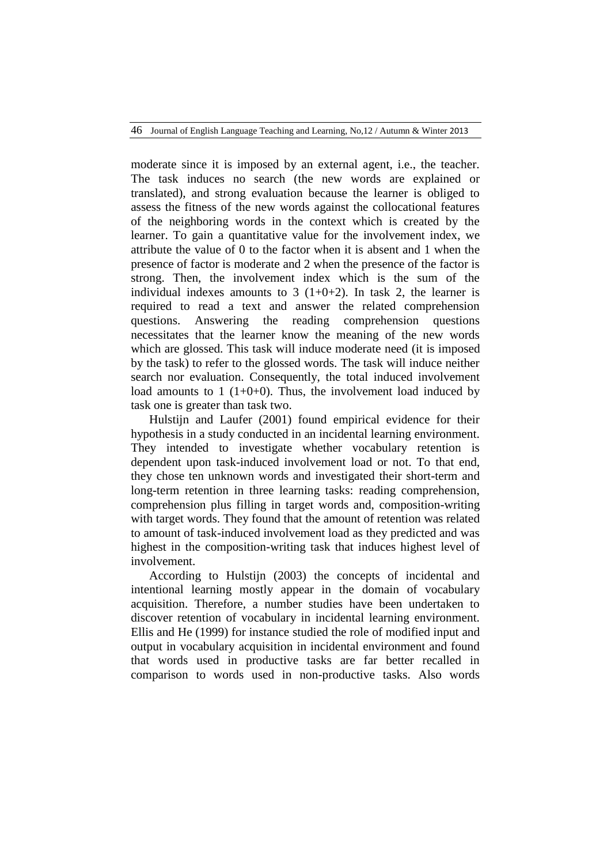moderate since it is imposed by an external agent, i.e., the teacher. The task induces no search (the new words are explained or translated), and strong evaluation because the learner is obliged to assess the fitness of the new words against the collocational features of the neighboring words in the context which is created by the learner. To gain a quantitative value for the involvement index, we attribute the value of 0 to the factor when it is absent and 1 when the presence of factor is moderate and 2 when the presence of the factor is strong. Then, the involvement index which is the sum of the individual indexes amounts to  $3(1+0+2)$ . In task 2, the learner is required to read a text and answer the related comprehension questions. Answering the reading comprehension questions necessitates that the learner know the meaning of the new words which are glossed. This task will induce moderate need (it is imposed by the task) to refer to the glossed words. The task will induce neither search nor evaluation. Consequently, the total induced involvement load amounts to 1  $(1+0+0)$ . Thus, the involvement load induced by task one is greater than task two.

Hulstijn and Laufer (2001) found empirical evidence for their hypothesis in a study conducted in an incidental learning environment. They intended to investigate whether vocabulary retention is dependent upon task-induced involvement load or not. To that end, they chose ten unknown words and investigated their short-term and long-term retention in three learning tasks: reading comprehension, comprehension plus filling in target words and, composition-writing with target words. They found that the amount of retention was related to amount of task-induced involvement load as they predicted and was highest in the composition-writing task that induces highest level of involvement.

According to Hulstijn (2003) the concepts of incidental and intentional learning mostly appear in the domain of vocabulary acquisition. Therefore, a number studies have been undertaken to discover retention of vocabulary in incidental learning environment. Ellis and He (1999) for instance studied the role of modified input and output in vocabulary acquisition in incidental environment and found that words used in productive tasks are far better recalled in comparison to words used in non-productive tasks. Also words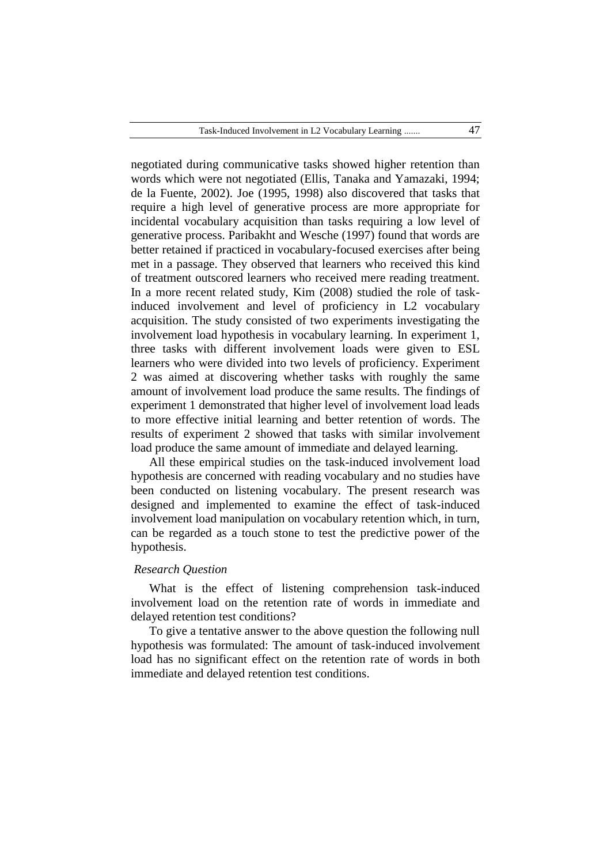negotiated during communicative tasks showed higher retention than words which were not negotiated (Ellis, Tanaka and Yamazaki, 1994; de la Fuente, 2002). Joe (1995, 1998) also discovered that tasks that require a high level of generative process are more appropriate for incidental vocabulary acquisition than tasks requiring a low level of generative process. Paribakht and Wesche (1997) found that words are better retained if practiced in vocabulary-focused exercises after being met in a passage. They observed that learners who received this kind of treatment outscored learners who received mere reading treatment. In a more recent related study, Kim (2008) studied the role of taskinduced involvement and level of proficiency in L2 vocabulary acquisition. The study consisted of two experiments investigating the involvement load hypothesis in vocabulary learning. In experiment 1, three tasks with different involvement loads were given to ESL learners who were divided into two levels of proficiency. Experiment 2 was aimed at discovering whether tasks with roughly the same amount of involvement load produce the same results. The findings of experiment 1 demonstrated that higher level of involvement load leads to more effective initial learning and better retention of words. The results of experiment 2 showed that tasks with similar involvement load produce the same amount of immediate and delayed learning.

All these empirical studies on the task-induced involvement load hypothesis are concerned with reading vocabulary and no studies have been conducted on listening vocabulary. The present research was designed and implemented to examine the effect of task-induced involvement load manipulation on vocabulary retention which, in turn, can be regarded as a touch stone to test the predictive power of the hypothesis.

# *Research Question*

What is the effect of listening comprehension task-induced involvement load on the retention rate of words in immediate and delayed retention test conditions?

To give a tentative answer to the above question the following null hypothesis was formulated: The amount of task-induced involvement load has no significant effect on the retention rate of words in both immediate and delayed retention test conditions.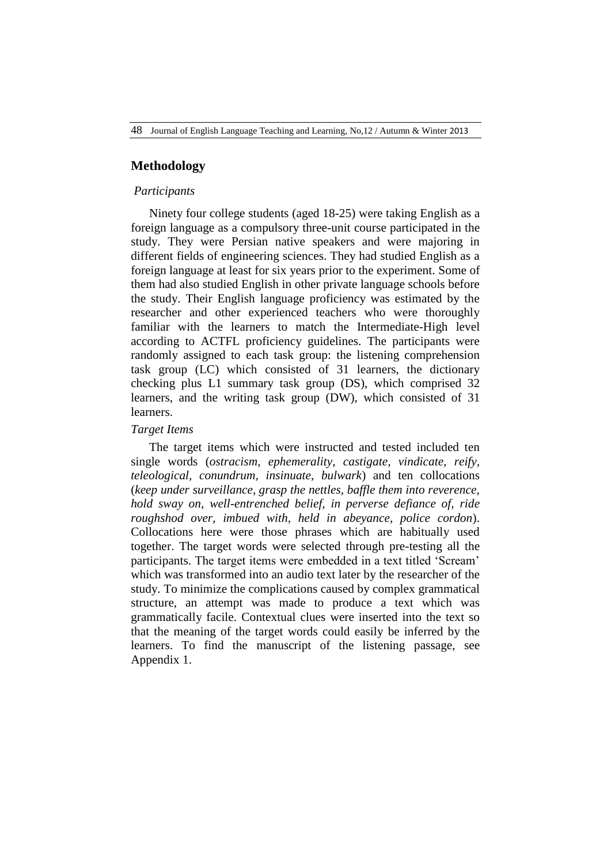## **Methodology**

### *Participants*

Ninety four college students (aged 18-25) were taking English as a foreign language as a compulsory three-unit course participated in the study. They were Persian native speakers and were majoring in different fields of engineering sciences. They had studied English as a foreign language at least for six years prior to the experiment. Some of them had also studied English in other private language schools before the study. Their English language proficiency was estimated by the researcher and other experienced teachers who were thoroughly familiar with the learners to match the Intermediate-High level according to ACTFL proficiency guidelines. The participants were randomly assigned to each task group: the listening comprehension task group (LC) which consisted of 31 learners, the dictionary checking plus L1 summary task group (DS), which comprised 32 learners, and the writing task group (DW), which consisted of 31 learners.

### *Target Items*

The target items which were instructed and tested included ten single words (*ostracism, ephemerality, castigate, vindicate, reify, teleological, conundrum, insinuate, bulwark*) and ten collocations (*keep under surveillance, grasp the nettles, baffle them into reverence, hold sway on, well-entrenched belief, in perverse defiance of, ride roughshod over, imbued with, held in abeyance, police cordon*). Collocations here were those phrases which are habitually used together. The target words were selected through pre-testing all the participants. The target items were embedded in a text titled 'Scream' which was transformed into an audio text later by the researcher of the study. To minimize the complications caused by complex grammatical structure, an attempt was made to produce a text which was grammatically facile. Contextual clues were inserted into the text so that the meaning of the target words could easily be inferred by the learners. To find the manuscript of the listening passage, see Appendix 1.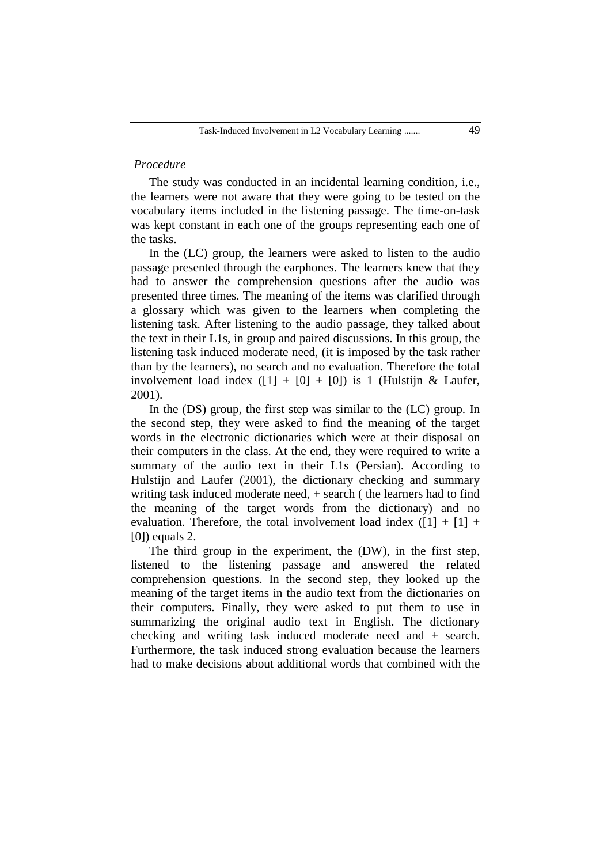# *Procedure*

The study was conducted in an incidental learning condition, i.e., the learners were not aware that they were going to be tested on the vocabulary items included in the listening passage. The time-on-task was kept constant in each one of the groups representing each one of the tasks.

In the (LC) group, the learners were asked to listen to the audio passage presented through the earphones. The learners knew that they had to answer the comprehension questions after the audio was presented three times. The meaning of the items was clarified through a glossary which was given to the learners when completing the listening task. After listening to the audio passage, they talked about the text in their L1s, in group and paired discussions. In this group, the listening task induced moderate need, (it is imposed by the task rather than by the learners), no search and no evaluation. Therefore the total involvement load index  $([1] + [0] + [0])$  is 1 (Hulstijn & Laufer, 2001).

In the (DS) group, the first step was similar to the (LC) group. In the second step, they were asked to find the meaning of the target words in the electronic dictionaries which were at their disposal on their computers in the class. At the end, they were required to write a summary of the audio text in their L1s (Persian). According to Hulstijn and Laufer (2001), the dictionary checking and summary writing task induced moderate need, + search ( the learners had to find the meaning of the target words from the dictionary) and no evaluation. Therefore, the total involvement load index  $([1] + [1] +$ [0]) equals 2.

The third group in the experiment, the (DW), in the first step, listened to the listening passage and answered the related comprehension questions. In the second step, they looked up the meaning of the target items in the audio text from the dictionaries on their computers. Finally, they were asked to put them to use in summarizing the original audio text in English. The dictionary checking and writing task induced moderate need and + search. Furthermore, the task induced strong evaluation because the learners had to make decisions about additional words that combined with the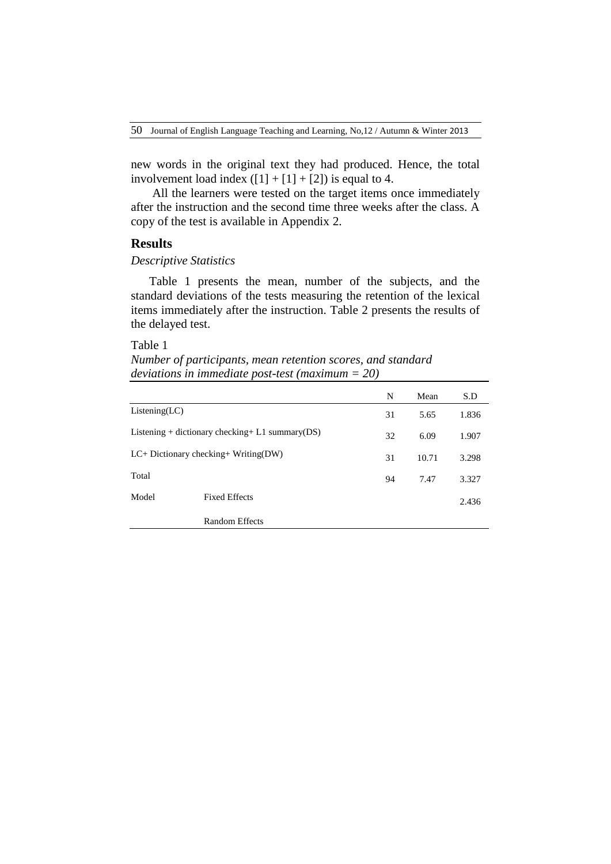new words in the original text they had produced. Hence, the total involvement load index  $([1] + [1] + [2])$  is equal to 4.

All the learners were tested on the target items once immediately after the instruction and the second time three weeks after the class. A copy of the test is available in Appendix 2.

# **Results**

### *Descriptive Statistics*

Table 1 presents the mean, number of the subjects, and the standard deviations of the tests measuring the retention of the lexical items immediately after the instruction. Table 2 presents the results of the delayed test.

# Table 1

*Number of participants, mean retention scores, and standard deviations in immediate post-test (maximum = 20)*

|                                                     |                       | N  | Mean  | S.D   |
|-----------------------------------------------------|-----------------------|----|-------|-------|
| Listing (LC)                                        |                       | 31 | 5.65  | 1.836 |
| Listening + dictionary checking + L1 summary $(DS)$ |                       | 32 | 6.09  | 1.907 |
| $LC+ Dictionary checking+Writing(DW)$               |                       | 31 | 10.71 | 3.298 |
| Total                                               |                       | 94 | 7.47  | 3.327 |
| Model                                               | <b>Fixed Effects</b>  |    |       | 2.436 |
|                                                     | <b>Random Effects</b> |    |       |       |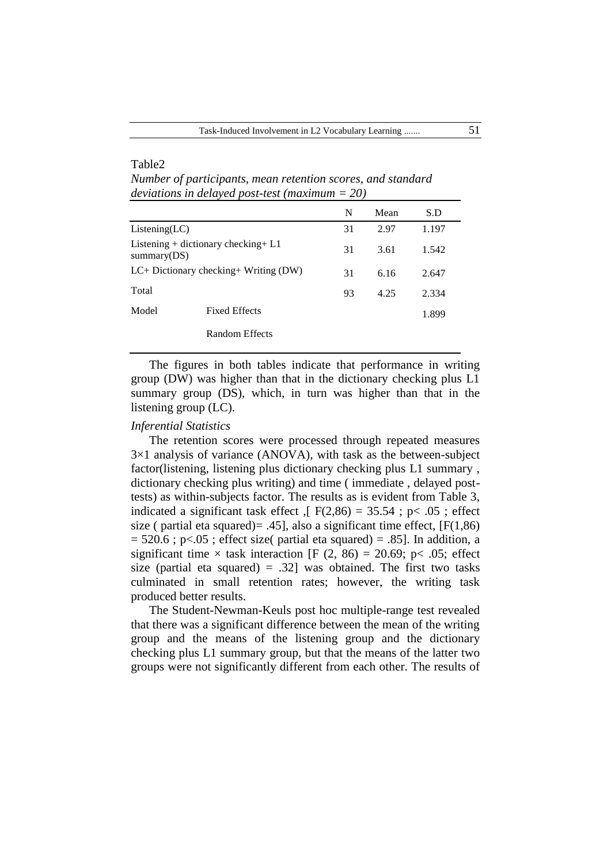|                                                       |                      | N  | Mean | S.D   |
|-------------------------------------------------------|----------------------|----|------|-------|
| Listing (LC)                                          |                      | 31 | 2.97 | 1.197 |
| Listening + dictionary checking + $L1$<br>summary(DS) |                      | 31 | 3.61 | 1.542 |
| $LC+ Dictionary$ checking + Writing (DW)              |                      | 31 | 6.16 | 2.647 |
| Total                                                 |                      | 93 | 4.25 | 2.334 |
| Model                                                 | <b>Fixed Effects</b> |    |      | 1.899 |
|                                                       | Random Effects       |    |      |       |

*Number of participants, mean retention scores, and standard deviations in delayed post-test (maximum = 20)*

The figures in both tables indicate that performance in writing group (DW) was higher than that in the dictionary checking plus L1 summary group (DS), which, in turn was higher than that in the listening group (LC).

## *Inferential Statistics*

Table2

The retention scores were processed through repeated measures  $3\times1$  analysis of variance (ANOVA), with task as the between-subject factor(listening, listening plus dictionary checking plus L1 summary , dictionary checking plus writing) and time ( immediate , delayed posttests) as within-subjects factor. The results as is evident from Table 3, indicated a significant task effect  $\sqrt{5}$  F(2,86) = 35.54; p < .05; effect size ( partial eta squared) = .45], also a significant time effect,  $[F(1,86)]$  $= 520.6$ ; p<.05; effect size( partial eta squared) = .85]. In addition, a significant time  $\times$  task interaction [F (2, 86) = 20.69; p < .05; effect size (partial eta squared) = .32] was obtained. The first two tasks culminated in small retention rates; however, the writing task produced better results.

The Student-Newman-Keuls post hoc multiple-range test revealed that there was a significant difference between the mean of the writing group and the means of the listening group and the dictionary checking plus L1 summary group, but that the means of the latter two groups were not significantly different from each other. The results of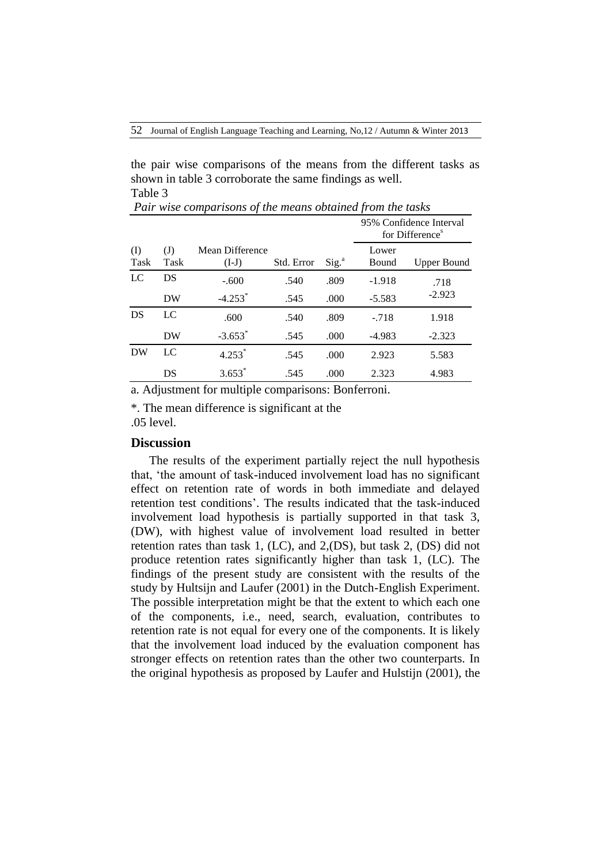the pair wise comparisons of the means from the different tasks as shown in table 3 corroborate the same findings as well. Table 3

|               |                                    |                            |            |                   | 95% Confidence Interval<br>for Difference <sup>s</sup> |                    |
|---------------|------------------------------------|----------------------------|------------|-------------------|--------------------------------------------------------|--------------------|
| $($ I<br>Task | $\left( \mathrm{J}\right)$<br>Task | Mean Difference<br>$(I-J)$ | Std. Error | Sig. <sup>a</sup> | Lower<br>Bound                                         | <b>Upper Bound</b> |
| LC            | DS                                 | $-.600$                    | .540       | .809              | $-1.918$                                               | .718               |
|               | DW                                 | $-4.253$ <sup>*</sup>      | .545       | .000              | $-5.583$                                               | $-2.923$           |
| DS            | LC                                 | .600                       | .540       | .809              | $-.718$                                                | 1.918              |
|               | DW                                 | $-3.653$ <sup>*</sup>      | .545       | .000              | $-4.983$                                               | $-2.323$           |
| DW            | LC                                 | $4.253*$                   | .545       | .000              | 2.923                                                  | 5.583              |
|               | DS                                 | $3.653*$                   | .545       | .000              | 2.323                                                  | 4.983              |

*Pair wise comparisons of the means obtained from the tasks* 

a. Adjustment for multiple comparisons: Bonferroni.

\*. The mean difference is significant at the .05 level.

# **Discussion**

The results of the experiment partially reject the null hypothesis that, 'the amount of task-induced involvement load has no significant effect on retention rate of words in both immediate and delayed retention test conditions'. The results indicated that the task-induced involvement load hypothesis is partially supported in that task 3, (DW), with highest value of involvement load resulted in better retention rates than task 1, (LC), and 2,(DS), but task 2, (DS) did not produce retention rates significantly higher than task 1, (LC). The findings of the present study are consistent with the results of the study by Hultsijn and Laufer (2001) in the Dutch-English Experiment. The possible interpretation might be that the extent to which each one of the components, i.e., need, search, evaluation, contributes to retention rate is not equal for every one of the components. It is likely that the involvement load induced by the evaluation component has stronger effects on retention rates than the other two counterparts. In the original hypothesis as proposed by Laufer and Hulstijn (2001), the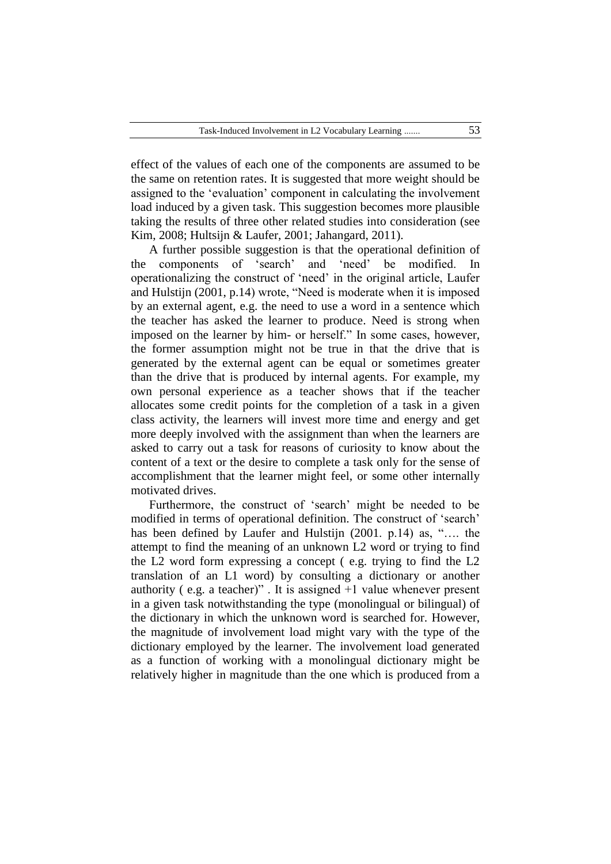effect of the values of each one of the components are assumed to be the same on retention rates. It is suggested that more weight should be assigned to the 'evaluation' component in calculating the involvement load induced by a given task. This suggestion becomes more plausible taking the results of three other related studies into consideration (see Kim, 2008; Hultsijn & Laufer, 2001; Jahangard, 2011).

A further possible suggestion is that the operational definition of the components of 'search' and 'need' be modified. In operationalizing the construct of ‗need' in the original article, Laufer and Hulstijn  $(2001, p.14)$  wrote, "Need is moderate when it is imposed by an external agent, e.g. the need to use a word in a sentence which the teacher has asked the learner to produce. Need is strong when imposed on the learner by him- or herself." In some cases, however, the former assumption might not be true in that the drive that is generated by the external agent can be equal or sometimes greater than the drive that is produced by internal agents. For example, my own personal experience as a teacher shows that if the teacher allocates some credit points for the completion of a task in a given class activity, the learners will invest more time and energy and get more deeply involved with the assignment than when the learners are asked to carry out a task for reasons of curiosity to know about the content of a text or the desire to complete a task only for the sense of accomplishment that the learner might feel, or some other internally motivated drives.

Furthermore, the construct of 'search' might be needed to be modified in terms of operational definition. The construct of 'search' has been defined by Laufer and Hulstijn  $(2001, p.14)$  as, ".... the attempt to find the meaning of an unknown L2 word or trying to find the L2 word form expressing a concept ( e.g. trying to find the L2 translation of an L1 word) by consulting a dictionary or another authority (e.g. a teacher)". It is assigned  $+1$  value whenever present in a given task notwithstanding the type (monolingual or bilingual) of the dictionary in which the unknown word is searched for. However, the magnitude of involvement load might vary with the type of the dictionary employed by the learner. The involvement load generated as a function of working with a monolingual dictionary might be relatively higher in magnitude than the one which is produced from a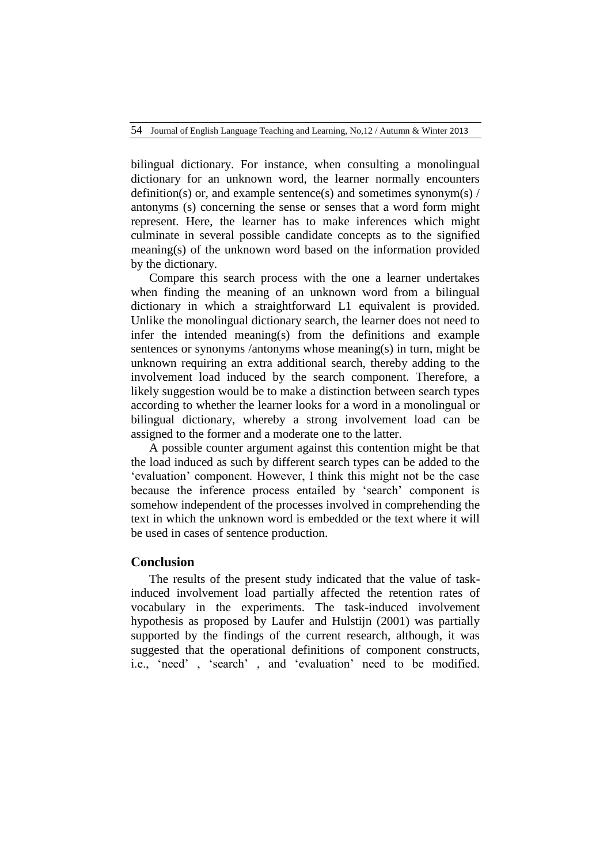bilingual dictionary. For instance, when consulting a monolingual dictionary for an unknown word, the learner normally encounters definition(s) or, and example sentence(s) and sometimes synonym(s)  $\frac{1}{2}$ antonyms (s) concerning the sense or senses that a word form might represent. Here, the learner has to make inferences which might culminate in several possible candidate concepts as to the signified meaning(s) of the unknown word based on the information provided by the dictionary.

Compare this search process with the one a learner undertakes when finding the meaning of an unknown word from a bilingual dictionary in which a straightforward L1 equivalent is provided. Unlike the monolingual dictionary search, the learner does not need to infer the intended meaning(s) from the definitions and example sentences or synonyms /antonyms whose meaning(s) in turn, might be unknown requiring an extra additional search, thereby adding to the involvement load induced by the search component. Therefore, a likely suggestion would be to make a distinction between search types according to whether the learner looks for a word in a monolingual or bilingual dictionary, whereby a strong involvement load can be assigned to the former and a moderate one to the latter.

A possible counter argument against this contention might be that the load induced as such by different search types can be added to the ‗evaluation' component. However, I think this might not be the case because the inference process entailed by 'search' component is somehow independent of the processes involved in comprehending the text in which the unknown word is embedded or the text where it will be used in cases of sentence production.

# **Conclusion**

The results of the present study indicated that the value of taskinduced involvement load partially affected the retention rates of vocabulary in the experiments. The task-induced involvement hypothesis as proposed by Laufer and Hulstijn (2001) was partially supported by the findings of the current research, although, it was suggested that the operational definitions of component constructs, i.e., 'need', 'search', and 'evaluation' need to be modified.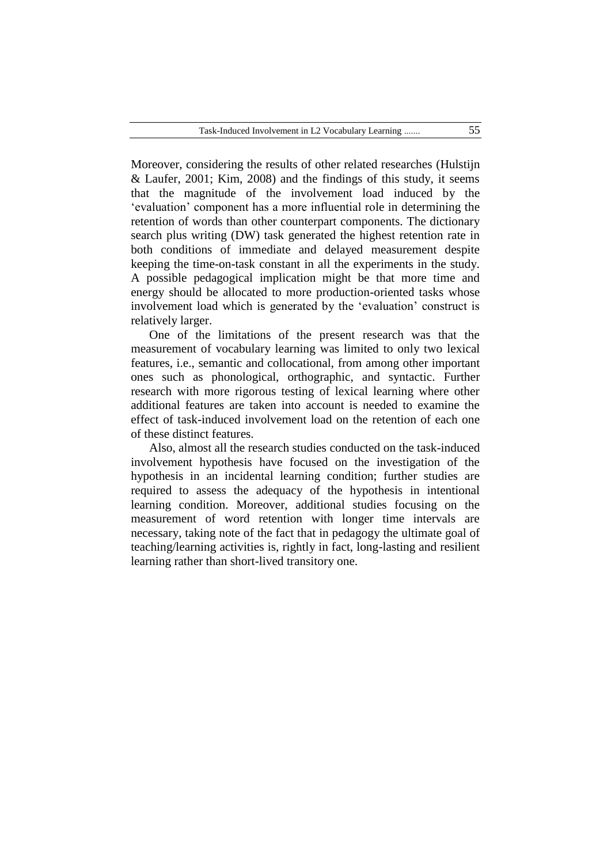Moreover, considering the results of other related researches (Hulstijn & Laufer, 2001; Kim, 2008) and the findings of this study, it seems that the magnitude of the involvement load induced by the ‗evaluation' component has a more influential role in determining the retention of words than other counterpart components. The dictionary search plus writing (DW) task generated the highest retention rate in both conditions of immediate and delayed measurement despite keeping the time-on-task constant in all the experiments in the study. A possible pedagogical implication might be that more time and energy should be allocated to more production-oriented tasks whose involvement load which is generated by the 'evaluation' construct is relatively larger.

One of the limitations of the present research was that the measurement of vocabulary learning was limited to only two lexical features, i.e., semantic and collocational, from among other important ones such as phonological, orthographic, and syntactic. Further research with more rigorous testing of lexical learning where other additional features are taken into account is needed to examine the effect of task-induced involvement load on the retention of each one of these distinct features.

Also, almost all the research studies conducted on the task-induced involvement hypothesis have focused on the investigation of the hypothesis in an incidental learning condition; further studies are required to assess the adequacy of the hypothesis in intentional learning condition. Moreover, additional studies focusing on the measurement of word retention with longer time intervals are necessary, taking note of the fact that in pedagogy the ultimate goal of teaching/learning activities is, rightly in fact, long-lasting and resilient learning rather than short-lived transitory one.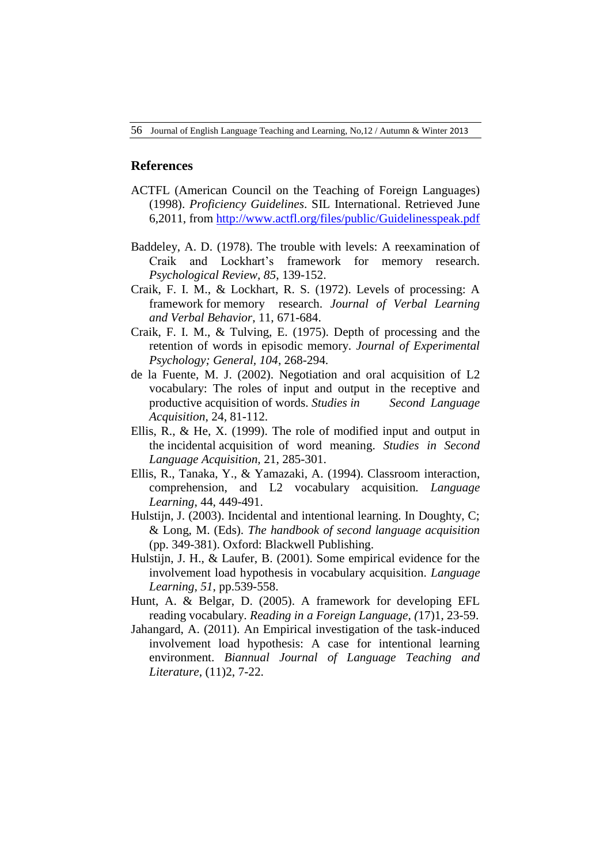## **References**

- ACTFL (American Council on the Teaching of Foreign Languages) (1998). *Proficiency Guidelines*. SIL International. Retrieved June 6,2011, from <http://www.actfl.org/files/public/Guidelinesspeak.pdf>
- Baddeley, A. D. (1978). The trouble with levels: A reexamination of Craik and Lockhart's framework for memory research. *Psychological Review, 85*, 139-152.
- Craik, F. I. M., & Lockhart, R. S. (1972). Levels of processing: A framework for memory research. *Journal of Verbal Learning and Verbal Behavior*, 11, 671-684.
- Craik, F. I. M., & Tulving, E. (1975). Depth of processing and the retention of words in episodic memory. *Journal of Experimental Psychology; General, 104*, 268-294.
- de la Fuente, M. J. (2002). Negotiation and oral acquisition of L2 vocabulary: The roles of input and output in the receptive and productive acquisition of words. *Studies in Second Language Acquisition*, 24, 81-112.
- Ellis, R., & He, X. (1999). The role of modified input and output in the incidental acquisition of word meaning. *Studies in Second Language Acquisition,* 21, 285-301.
- Ellis, R., Tanaka, Y., & Yamazaki, A. (1994). Classroom interaction, comprehension, and L2 vocabulary acquisition*. Language Learning*, 44, 449-491.
- Hulstijn, J. (2003). Incidental and intentional learning. In Doughty, C; & Long, M. (Eds). *The handbook of second language acquisition* (pp. 349-381). Oxford: Blackwell Publishing.
- Hulstijn, J. H., & Laufer, B. (2001). Some empirical evidence for the involvement load hypothesis in vocabulary acquisition. *Language Learning, 51*, pp.539-558.
- Hunt, A. & Belgar, D. (2005). A framework for developing EFL reading vocabulary. *Reading in a Foreign Language, (*17)1, 23-59.
- Jahangard, A. (2011). An Empirical investigation of the task-induced involvement load hypothesis: A case for intentional learning environment. *Biannual Journal of Language Teaching and Literature*, (11)2, 7-22.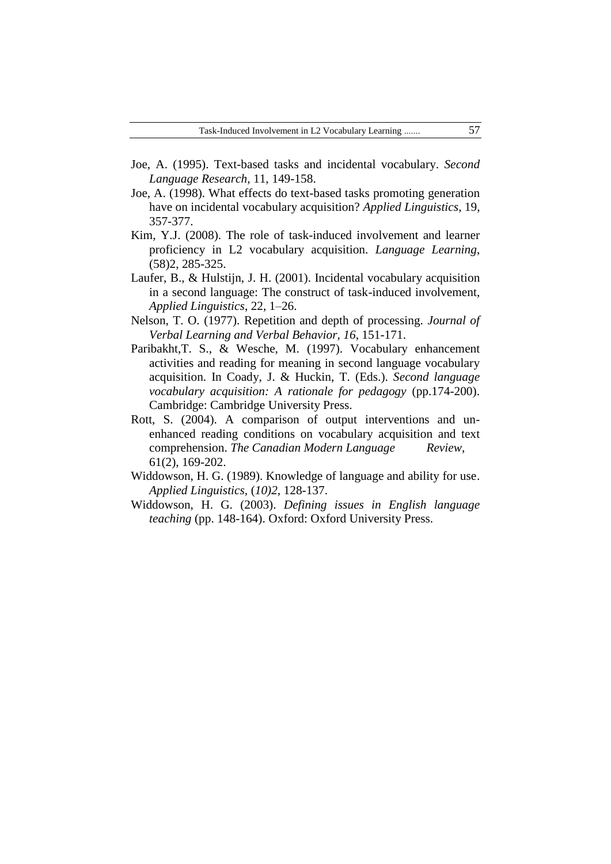- Joe, A. (1995). Text-based tasks and incidental vocabulary. *Second Language Research,* 11, 149-158.
- Joe, A. (1998). What effects do text-based tasks promoting generation have on incidental vocabulary acquisition? *Applied Linguistics*, 19, 357-377.
- Kim, Y.J. (2008). The role of task-induced involvement and learner proficiency in L2 vocabulary acquisition. *Language Learning*, (58)2, 285-325.
- Laufer, B., & Hulstijn, J. H. (2001). Incidental vocabulary acquisition in a second language: The construct of task-induced involvement, *Applied Linguistics*, 22, 1–26.
- Nelson, T. O. (1977). Repetition and depth of processing. *Journal of Verbal Learning and Verbal Behavior, 16*, 151-171.
- Paribakht,T. S., & Wesche, M. (1997). Vocabulary enhancement activities and reading for meaning in second language vocabulary acquisition. In Coady, J. & Huckin, T. (Eds.). *Second language vocabulary acquisition: A rationale for pedagogy* (pp.174-200). Cambridge: Cambridge University Press.
- Rott, S. (2004). A comparison of output interventions and unenhanced reading conditions on vocabulary acquisition and text comprehension. *The Canadian Modern Language Review*, 61(2), 169-202.
- Widdowson, H. G. (1989). Knowledge of language and ability for use. *Applied Linguistics,* (*10)2*, 128-137.
- Widdowson, H. G. (2003). *Defining issues in English language teaching* (pp. 148-164). Oxford: Oxford University Press.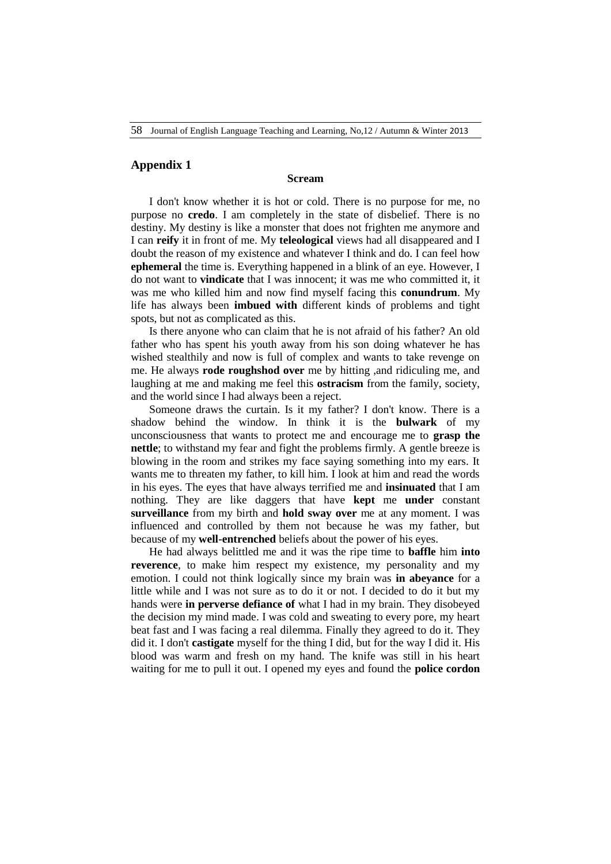### **Appendix 1**

### **Scream**

I don't know whether it is hot or cold. There is no purpose for me, no purpose no **credo**. I am completely in the state of disbelief. There is no destiny. My destiny is like a monster that does not frighten me anymore and I can **reify** it in front of me. My **teleological** views had all disappeared and I doubt the reason of my existence and whatever I think and do. I can feel how **ephemeral** the time is. Everything happened in a blink of an eye. However, I do not want to **vindicate** that I was innocent; it was me who committed it, it was me who killed him and now find myself facing this **conundrum**. My life has always been **imbued with** different kinds of problems and tight spots, but not as complicated as this.

Is there anyone who can claim that he is not afraid of his father? An old father who has spent his youth away from his son doing whatever he has wished stealthily and now is full of complex and wants to take revenge on me. He always **rode roughshod over** me by hitting ,and ridiculing me, and laughing at me and making me feel this **ostracism** from the family, society, and the world since I had always been a reject.

Someone draws the curtain. Is it my father? I don't know. There is a shadow behind the window. In think it is the **bulwark** of my unconsciousness that wants to protect me and encourage me to **grasp the nettle**; to withstand my fear and fight the problems firmly. A gentle breeze is blowing in the room and strikes my face saying something into my ears. It wants me to threaten my father, to kill him. I look at him and read the words in his eyes. The eyes that have always terrified me and **insinuated** that I am nothing. They are like daggers that have **kept** me **under** constant **surveillance** from my birth and **hold sway over** me at any moment. I was influenced and controlled by them not because he was my father, but because of my **well-entrenched** beliefs about the power of his eyes.

He had always belittled me and it was the ripe time to **baffle** him **into reverence**, to make him respect my existence, my personality and my emotion. I could not think logically since my brain was **in abeyance** for a little while and I was not sure as to do it or not. I decided to do it but my hands were **in perverse defiance of** what I had in my brain. They disobeyed the decision my mind made. I was cold and sweating to every pore, my heart beat fast and I was facing a real dilemma. Finally they agreed to do it. They did it. I don't **castigate** myself for the thing I did, but for the way I did it. His blood was warm and fresh on my hand. The knife was still in his heart waiting for me to pull it out. I opened my eyes and found the **police cordon**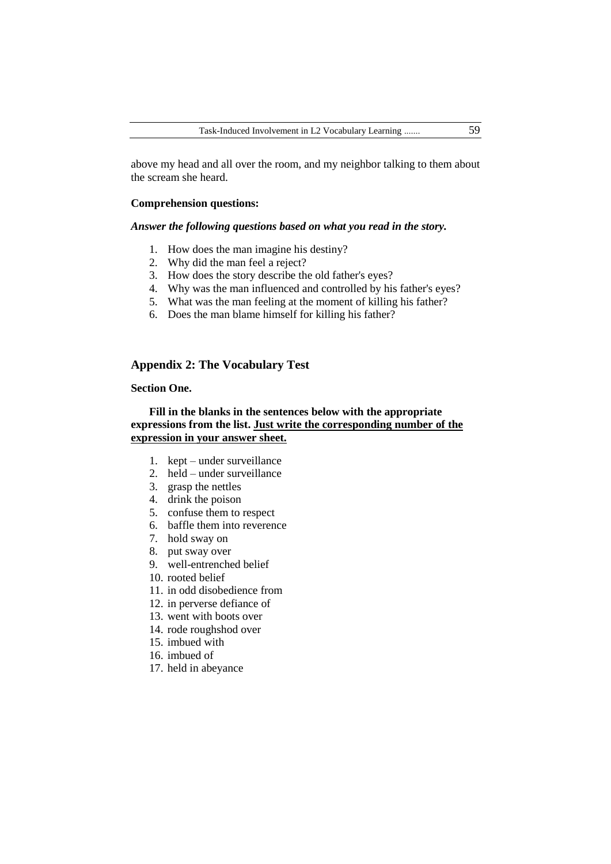above my head and all over the room, and my neighbor talking to them about the scream she heard.

## **Comprehension questions:**

#### *Answer the following questions based on what you read in the story.*

- 1. How does the man imagine his destiny?
- 2. Why did the man feel a reject?
- 3. How does the story describe the old father's eyes?
- 4. Why was the man influenced and controlled by his father's eyes?
- 5. What was the man feeling at the moment of killing his father?
- 6. Does the man blame himself for killing his father?

# **Appendix 2: The Vocabulary Test**

## **Section One.**

# **Fill in the blanks in the sentences below with the appropriate expressions from the list. Just write the corresponding number of the expression in your answer sheet.**

- 1. kept under surveillance
- 2. held under surveillance
- 3. grasp the nettles
- 4. drink the poison
- 5. confuse them to respect
- 6. baffle them into reverence
- 7. hold sway on
- 8. put sway over
- 9. well-entrenched belief
- 10. rooted belief
- 11. in odd disobedience from
- 12. in perverse defiance of
- 13. went with boots over
- 14. rode roughshod over
- 15. imbued with
- 16. imbued of
- 17. held in abeyance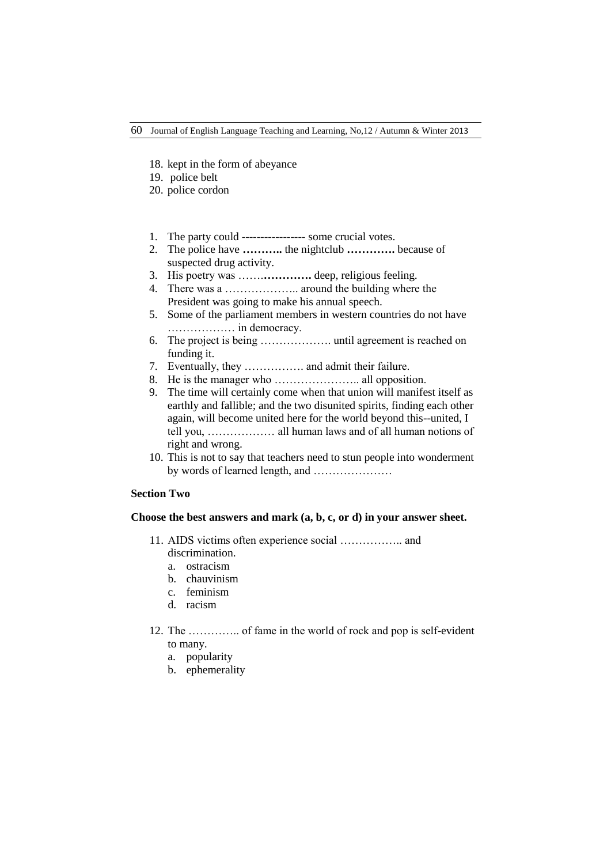- 18. kept in the form of abeyance
- 19. police belt
- 20. police cordon
- 1. The party could ----------------- some crucial votes.
- 2. The police have **………..** the nightclub **………….** because of suspected drug activity.
- 3. His poetry was …….**………….** deep, religious feeling.
- 4. There was a ……………….. around the building where the President was going to make his annual speech.
- 5. Some of the parliament members in western countries do not have ……………… in democracy.
- 6. The project is being ………………. until agreement is reached on funding it.
- 7. Eventually, they ……………. and admit their failure.
- 8. He is the manager who ………………….. all opposition.
- 9. The time will certainly come when that union will manifest itself as earthly and fallible; and the two disunited spirits, finding each other again, will become united here for the world beyond this--united, I tell you, ……………… all human laws and of all human notions of right and wrong.
- 10. This is not to say that teachers need to stun people into wonderment by words of learned length, and …………………

# **Section Two**

### **Choose the best answers and mark (a, b, c, or d) in your answer sheet.**

- 11. AIDS victims often experience social …………….. and discrimination.
	- a. ostracism
	- b. chauvinism
	- c. feminism
	- d. racism
- 12. The ………….. of fame in the world of rock and pop is self-evident to many.
	- a. popularity
	- b. ephemerality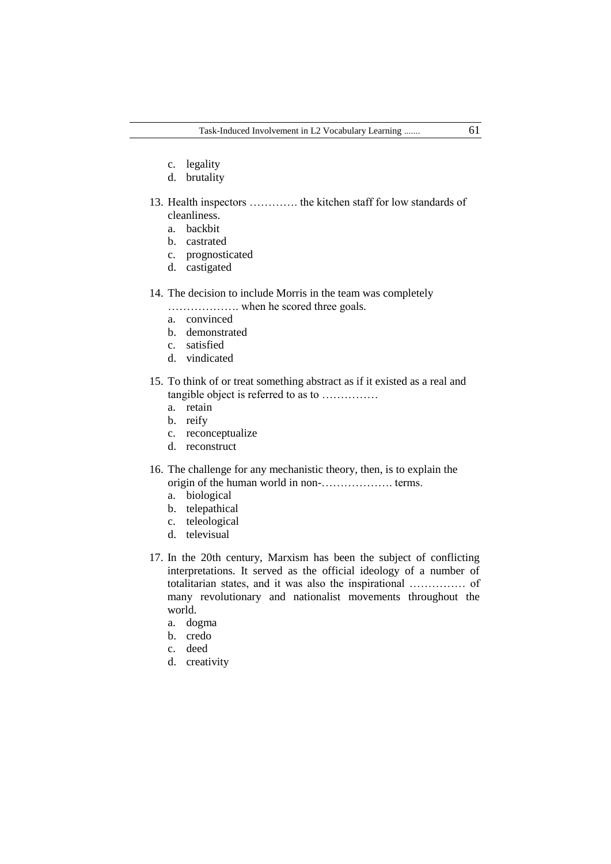- c. legality
- d. brutality
- 13. Health inspectors …………. the kitchen staff for low standards of cleanliness.
	- a. backbit
	- b. castrated
	- c. prognosticated
	- d. castigated
- 14. The decision to include Morris in the team was completely
	- ………………. when he scored three goals.
	- a. convinced
	- b. demonstrated
	- c. satisfied
	- d. vindicated
- 15. To think of or treat something abstract as if it existed as a real and tangible object is referred to as to ……………
	- a. retain
	- b. reify
	- c. reconceptualize
	- d. reconstruct
- 16. The challenge for any mechanistic theory, then, is to explain the origin of the human world in non-………………. terms.
	- a. biological
	- b. telepathical
	- c. teleological
	- d. televisual
- 17. In the 20th century, Marxism has been the subject of conflicting interpretations. It served as the official ideology of a number of totalitarian states, and it was also the inspirational …………… of many revolutionary and nationalist movements throughout the world.
	- a. dogma
	- b. credo
	- c. deed
	- d. creativity